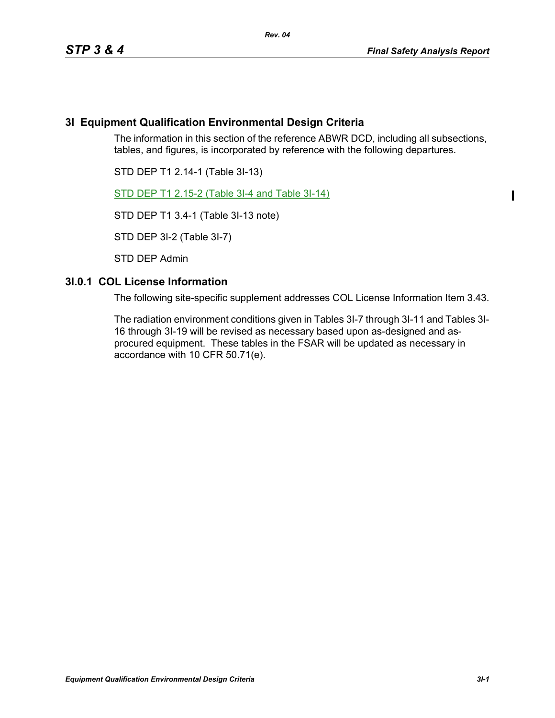I

# **3I Equipment Qualification Environmental Design Criteria**

The information in this section of the reference ABWR DCD, including all subsections, tables, and figures, is incorporated by reference with the following departures.

STD DEP T1 2.14-1 (Table 3I-13)

STD DEP T1 2.15-2 (Table 3I-4 and Table 3I-14)

STD DEP T1 3.4-1 (Table 3I-13 note)

STD DEP 3I-2 (Table 3I-7)

STD DEP Admin

# **3I.0.1 COL License Information**

The following site-specific supplement addresses COL License Information Item 3.43.

The radiation environment conditions given in Tables 3I-7 through 3I-11 and Tables 3I-16 through 3I-19 will be revised as necessary based upon as-designed and asprocured equipment. These tables in the FSAR will be updated as necessary in accordance with 10 CFR 50.71(e).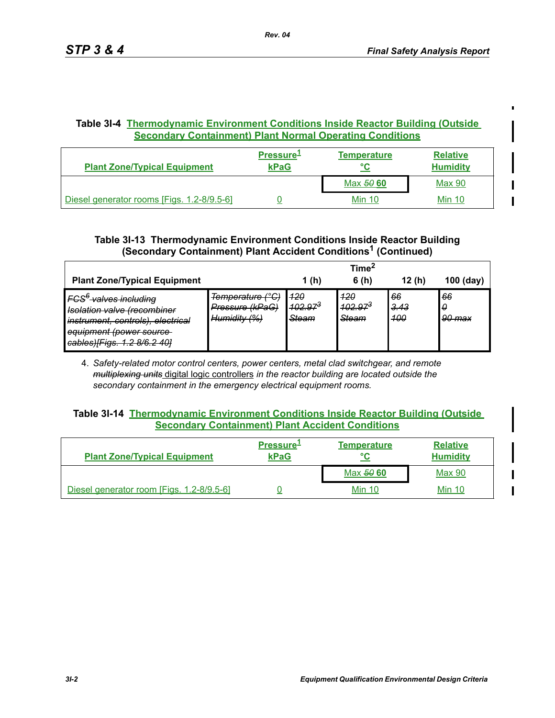$\blacksquare$ 

# **Table 3I-4 Thermodynamic Environment Conditions Inside Reactor Building (Outside Secondary Containment) Plant Normal Operating Conditions**

| <b>Plant Zone/Typical Equipment</b>        | Pressure <sup>1</sup><br><b>kPaG</b> | <b>Temperature</b> | <b>Relative</b><br><b>Humidity</b> |
|--------------------------------------------|--------------------------------------|--------------------|------------------------------------|
|                                            |                                      | Max 50 60          | <b>Max 90</b>                      |
| Diesel generator rooms [Figs. 1.2-8/9.5-6] |                                      | <b>Min 10</b>      | <b>Min 10</b>                      |

# **Table 3I-13 Thermodynamic Environment Conditions Inside Reactor Building (Secondary Containment) Plant Accident Conditions1 (Continued)**

|                                                                                                                                                                                                                                      |                                                     |                                                      | Timeʻ                                         |                          |                    |
|--------------------------------------------------------------------------------------------------------------------------------------------------------------------------------------------------------------------------------------|-----------------------------------------------------|------------------------------------------------------|-----------------------------------------------|--------------------------|--------------------|
| <b>Plant Zone/Typical Equipment</b>                                                                                                                                                                                                  |                                                     | 1(h)                                                 | 6(h)                                          | 12(h)                    | $100$ (day)        |
| IFCS <sup>6</sup> -valves including<br>Jeolation valve (recombiner<br><del>isulation valve hecomunel</del><br>instrument, controls), electrical<br>equipment (power source<br>$\text{cable}$<br><del>cabico)[riyo. 1.2 oro.2 -</del> | Temperature (°C)<br>Pressure (kPaG)<br>Humidity (%) | 420<br><del>102.97<sup>3</sup></del><br><b>Steam</b> | 420<br><del>102.97<sup>3</sup></del><br>Steam | 66<br><u>3.43</u><br>400 | 66<br>-9<br>90 max |

4. *Safety-related motor control centers, power centers, metal clad switchgear, and remote multiplexing units* digital logic controllers *in the reactor building are located outside the secondary containment in the emergency electrical equipment rooms.*

### **Table 3I-14 Thermodynamic Environment Conditions Inside Reactor Building (Outside Secondary Containment) Plant Accident Conditions**

| <b>Plant Zone/Typical Equipment</b>       | <b>Pressure</b><br><b>kPaG</b> | <b>Temperature</b><br>°C | <b>Relative</b><br><b>Humidity</b> |
|-------------------------------------------|--------------------------------|--------------------------|------------------------------------|
|                                           |                                | Max 50 60                | Max 90                             |
| Diesel generator room [Figs. 1.2-8/9.5-6] |                                | <b>Min 10</b>            | <b>Min 10</b>                      |